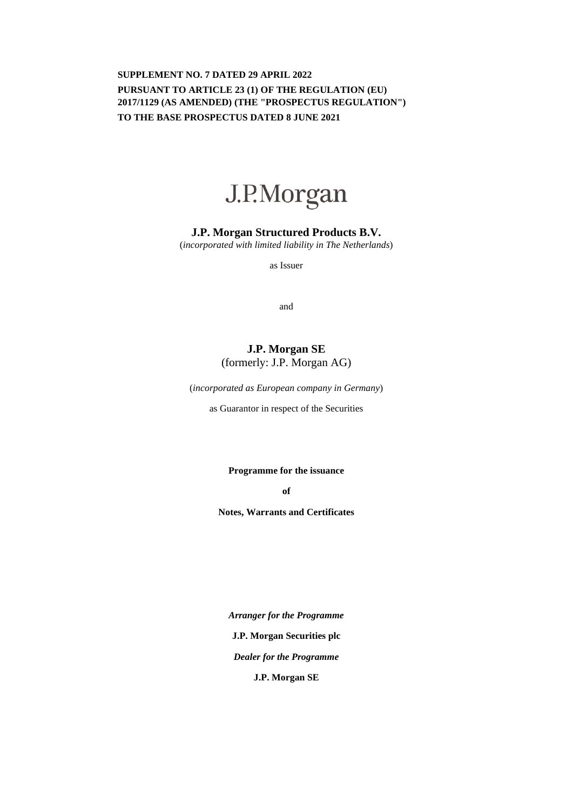## **SUPPLEMENT NO. 7 DATED 29 APRIL 2022 PURSUANT TO ARTICLE 23 (1) OF THE REGULATION (EU) 2017/1129 (AS AMENDED) (THE "PROSPECTUS REGULATION") TO THE BASE PROSPECTUS DATED 8 JUNE 2021**



### **J.P. Morgan Structured Products B.V.**

(*incorporated with limited liability in The Netherlands*)

as Issuer

and

# **J.P. Morgan SE**  (formerly: J.P. Morgan AG)

(*incorporated as European company in Germany*)

as Guarantor in respect of the Securities

**Programme for the issuance** 

**of** 

**Notes, Warrants and Certificates** 

*Arranger for the Programme*  **J.P. Morgan Securities plc** *Dealer for the Programme*  **J.P. Morgan SE**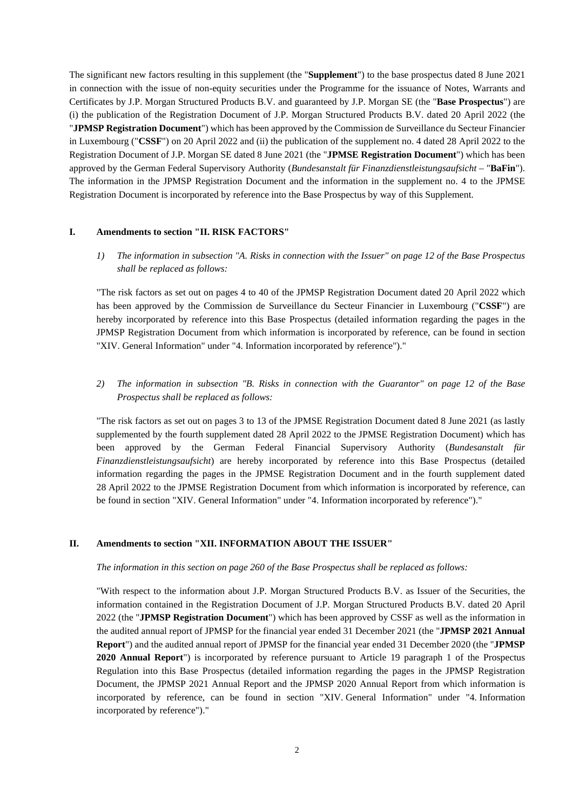The significant new factors resulting in this supplement (the "**Supplement**") to the base prospectus dated 8 June 2021 in connection with the issue of non-equity securities under the Programme for the issuance of Notes, Warrants and Certificates by J.P. Morgan Structured Products B.V. and guaranteed by J.P. Morgan SE (the "**Base Prospectus**") are (i) the publication of the Registration Document of J.P. Morgan Structured Products B.V. dated 20 April 2022 (the "**JPMSP Registration Document**") which has been approved by the Commission de Surveillance du Secteur Financier in Luxembourg ("**CSSF**") on 20 April 2022 and (ii) the publication of the supplement no. 4 dated 28 April 2022 to the Registration Document of J.P. Morgan SE dated 8 June 2021 (the "**JPMSE Registration Document**") which has been approved by the German Federal Supervisory Authority (*Bundesanstalt für Finanzdienstleistungsaufsicht* – "**BaFin**"). The information in the JPMSP Registration Document and the information in the supplement no. 4 to the JPMSE Registration Document is incorporated by reference into the Base Prospectus by way of this Supplement.

#### **I. Amendments to section "II. RISK FACTORS"**

*1) The information in subsection "A. Risks in connection with the Issuer" on page 12 of the Base Prospectus shall be replaced as follows:* 

"The risk factors as set out on pages 4 to 40 of the JPMSP Registration Document dated 20 April 2022 which has been approved by the Commission de Surveillance du Secteur Financier in Luxembourg ("**CSSF**") are hereby incorporated by reference into this Base Prospectus (detailed information regarding the pages in the JPMSP Registration Document from which information is incorporated by reference, can be found in section "XIV. General Information" under "4. Information incorporated by reference")."

*2) The information in subsection "B. Risks in connection with the Guarantor" on page 12 of the Base Prospectus shall be replaced as follows:* 

"The risk factors as set out on pages 3 to 13 of the JPMSE Registration Document dated 8 June 2021 (as lastly supplemented by the fourth supplement dated 28 April 2022 to the JPMSE Registration Document) which has been approved by the German Federal Financial Supervisory Authority (*Bundesanstalt für Finanzdienstleistungsaufsicht*) are hereby incorporated by reference into this Base Prospectus (detailed information regarding the pages in the JPMSE Registration Document and in the fourth supplement dated 28 April 2022 to the JPMSE Registration Document from which information is incorporated by reference, can be found in section "XIV. General Information" under "4. Information incorporated by reference")."

#### **II. Amendments to section "XII. INFORMATION ABOUT THE ISSUER"**

*The information in this section on page 260 of the Base Prospectus shall be replaced as follows:* 

"With respect to the information about J.P. Morgan Structured Products B.V. as Issuer of the Securities, the information contained in the Registration Document of J.P. Morgan Structured Products B.V. dated 20 April 2022 (the "**JPMSP Registration Document**") which has been approved by CSSF as well as the information in the audited annual report of JPMSP for the financial year ended 31 December 2021 (the "**JPMSP 2021 Annual Report**") and the audited annual report of JPMSP for the financial year ended 31 December 2020 (the "**JPMSP 2020 Annual Report**") is incorporated by reference pursuant to Article 19 paragraph 1 of the Prospectus Regulation into this Base Prospectus (detailed information regarding the pages in the JPMSP Registration Document, the JPMSP 2021 Annual Report and the JPMSP 2020 Annual Report from which information is incorporated by reference, can be found in section "XIV. General Information" under "4. Information incorporated by reference")."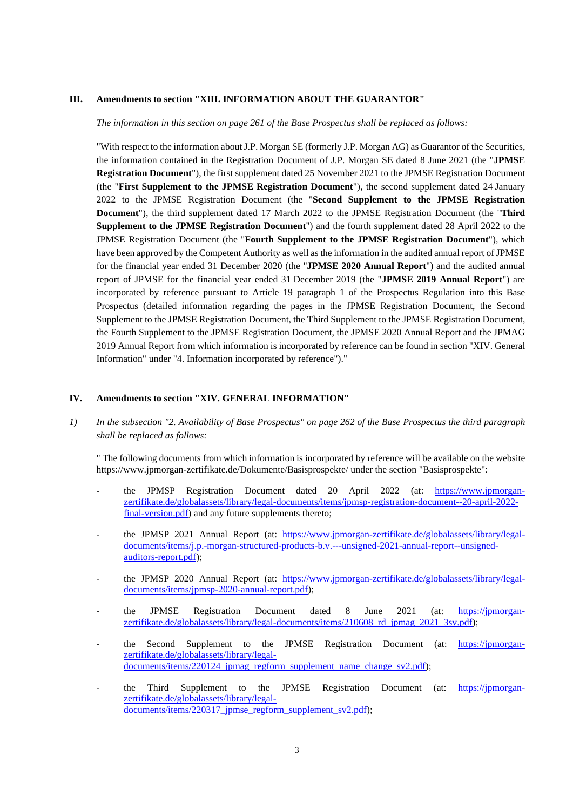#### **III. Amendments to section "XIII. INFORMATION ABOUT THE GUARANTOR"**

*The information in this section on page 261 of the Base Prospectus shall be replaced as follows:* 

"With respect to the information about J.P. Morgan SE (formerly J.P. Morgan AG) as Guarantor of the Securities, the information contained in the Registration Document of J.P. Morgan SE dated 8 June 2021 (the "**JPMSE Registration Document**"), the first supplement dated 25 November 2021 to the JPMSE Registration Document (the "**First Supplement to the JPMSE Registration Document**"), the second supplement dated 24 January 2022 to the JPMSE Registration Document (the "**Second Supplement to the JPMSE Registration Document**"), the third supplement dated 17 March 2022 to the JPMSE Registration Document (the "**Third Supplement to the JPMSE Registration Document**") and the fourth supplement dated 28 April 2022 to the JPMSE Registration Document (the "**Fourth Supplement to the JPMSE Registration Document**"), which have been approved by the Competent Authority as well as the information in the audited annual report of JPMSE for the financial year ended 31 December 2020 (the "**JPMSE 2020 Annual Report**") and the audited annual report of JPMSE for the financial year ended 31 December 2019 (the "**JPMSE 2019 Annual Report**") are incorporated by reference pursuant to Article 19 paragraph 1 of the Prospectus Regulation into this Base Prospectus (detailed information regarding the pages in the JPMSE Registration Document, the Second Supplement to the JPMSE Registration Document, the Third Supplement to the JPMSE Registration Document, the Fourth Supplement to the JPMSE Registration Document, the JPMSE 2020 Annual Report and the JPMAG 2019 Annual Report from which information is incorporated by reference can be found in section "XIV. General Information" under "4. Information incorporated by reference")."

#### **IV. Amendments to section "XIV. GENERAL INFORMATION"**

*1) In the subsection "2. Availability of Base Prospectus" on page 262 of the Base Prospectus the third paragraph shall be replaced as follows:* 

" The following documents from which information is incorporated by reference will be available on the website https://www.jpmorgan-zertifikate.de/Dokumente/Basisprospekte/ under the section "Basisprospekte":

- the JPMSP Registration Document dated 20 April 2022 (at: [https://www.jpmorgan](https://www.jpmorgan-zertifikate.de/globalassets/library/legal-documents/items/jpmsp-registration-document--20-april-2022-final-version.pdf)[zertifikate.de/globalassets/library/legal-documents/items/jpmsp-registration-document--20-april-2022](https://www.jpmorgan-zertifikate.de/globalassets/library/legal-documents/items/jpmsp-registration-document--20-april-2022-final-version.pdf) final-version.pdf) and any future supplements thereto;
- the JPMSP 2021 Annual Report (at: [https://www.jpmorgan-zertifikate.de/globalassets/library/legal](https://www.jpmorgan-zertifikate.de/globalassets/library/legal-documents/items/j.p.-morgan-structured-products-b.v.---unsigned-2021-annual-report--unsigned-auditors-report.pdf)[documents/items/j.p.-morgan-structured-products-b.v.---unsigned-2021-annual-report--unsigned](https://www.jpmorgan-zertifikate.de/globalassets/library/legal-documents/items/j.p.-morgan-structured-products-b.v.---unsigned-2021-annual-report--unsigned-auditors-report.pdf)[auditors-report.pdf\);](https://www.jpmorgan-zertifikate.de/globalassets/library/legal-documents/items/j.p.-morgan-structured-products-b.v.---unsigned-2021-annual-report--unsigned-auditors-report.pdf)
- the JPMSP 2020 Annual Report (at: [https://www.jpmorgan-zertifikate.de/globalassets/library/legal](https://www.jpmorgan-zertifikate.de/globalassets/library/legal-documents/items/jpmsp-2020-annual-report.pdf)[documents/items/jpmsp-2020-annual-report.pdf\);](https://www.jpmorgan-zertifikate.de/globalassets/library/legal-documents/items/jpmsp-2020-annual-report.pdf)
- the JPMSE Registration Document dated 8 June 2021 (at: [https://jpmorgan](https://jpmorgan-zertifikate.de/globalassets/library/legal-documents/items/210608_rd_jpmag_2021_3sv.pdf)[zertifikate.de/globalassets/library/legal-documents/items/210608\\_rd\\_jpmag\\_2021\\_3sv.pdf\);](https://jpmorgan-zertifikate.de/globalassets/library/legal-documents/items/210608_rd_jpmag_2021_3sv.pdf)
- the Second Supplement to the JPMSE Registration Document (at: [https://jpmorgan](https://jpmorgan-zertifikate.de/globalassets/library/legal-documents/items/220124_jpmag_regform_supplement_name_change_sv2.pdf)[zertifikate.de/globalassets/library/legal](https://jpmorgan-zertifikate.de/globalassets/library/legal-documents/items/220124_jpmag_regform_supplement_name_change_sv2.pdf)documents/items/220124\_jpmag\_regform\_supplement\_name\_change\_sv2.pdf);
- the Third Supplement to the JPMSE Registration Document (at: [https://jpmorgan](https://jpmorgan-zertifikate.de/globalassets/library/legal-documents/items/220317_jpmse_regform_supplement_sv2.pdf)[zertifikate.de/globalassets/library/legal](https://jpmorgan-zertifikate.de/globalassets/library/legal-documents/items/220317_jpmse_regform_supplement_sv2.pdf)documents/items/220317\_jpmse\_regform\_supplement\_sv2.pdf);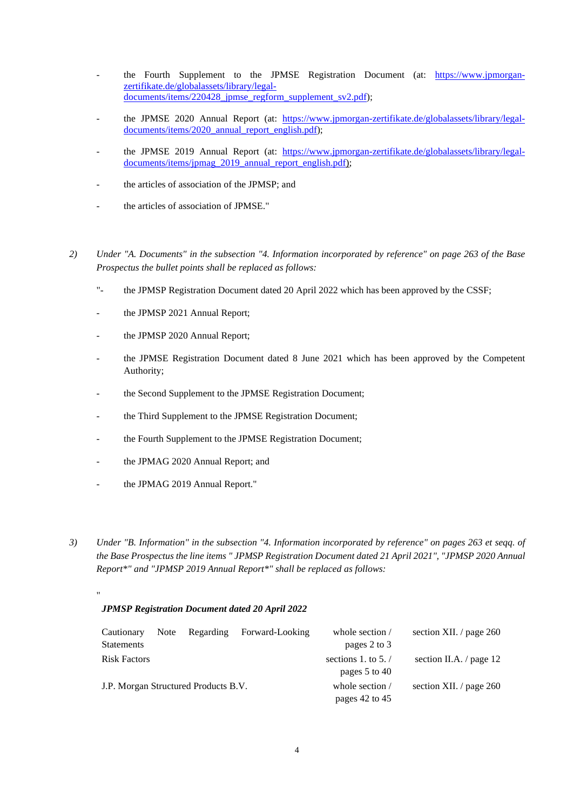- the Fourth Supplement to the JPMSE Registration Document (at: [https://www.jpmorgan](https://www.jpmorgan-zertifikate.de/globalassets/library/legal-documents/items/220428_jpmse_regform_supplement_sv2.pdf)[zertifikate.de/globalassets/library/legal](https://www.jpmorgan-zertifikate.de/globalassets/library/legal-documents/items/220428_jpmse_regform_supplement_sv2.pdf)[documents/items/220428\\_jpmse\\_regform\\_supplement\\_sv2.pdf\);](https://www.jpmorgan-zertifikate.de/globalassets/library/legal-documents/items/220428_jpmse_regform_supplement_sv2.pdf)
- the JPMSE 2020 Annual Report (at: [https://www.jpmorgan-zertifikate.de/globalassets/library/legal](https://www.jpmorgan-zertifikate.de/globalassets/library/legal-documents/items/2020_annual_report_english.pdf)[documents/items/2020\\_annual\\_report\\_english.pdf\);](https://www.jpmorgan-zertifikate.de/globalassets/library/legal-documents/items/2020_annual_report_english.pdf)
- the JPMSE 2019 Annual Report (at: [https://www.jpmorgan-zertifikate.de/globalassets/library/legal](https://www.jpmorgan-zertifikate.de/globalassets/library/legal-documents/items/jpmag_2019_annual_report_english.pdf)documents/items/jpmag\_2019\_annual\_report\_english.pdf);
- the articles of association of the JPMSP; and
- the articles of association of JPMSE."
- *2) Under "A. Documents" in the subsection "4. Information incorporated by reference" on page 263 of the Base Prospectus the bullet points shall be replaced as follows:* 
	- "- the JPMSP Registration Document dated 20 April 2022 which has been approved by the CSSF;
	- the JPMSP 2021 Annual Report;
	- the JPMSP 2020 Annual Report;
	- the JPMSE Registration Document dated 8 June 2021 which has been approved by the Competent Authority;
	- the Second Supplement to the JPMSE Registration Document;
	- the Third Supplement to the JPMSE Registration Document;
	- the Fourth Supplement to the JPMSE Registration Document;
	- the JPMAG 2020 Annual Report; and
	- the JPMAG 2019 Annual Report."

"

*3) Under "B. Information" in the subsection "4. Information incorporated by reference" on pages 263 et seqq. of the Base Prospectus the line items " JPMSP Registration Document dated 21 April 2021", "JPMSP 2020 Annual Report\*" and "JPMSP 2019 Annual Report\*" shall be replaced as follows:* 

### *JPMSP Registration Document dated 20 April 2022*

| Cautionary<br><b>Statements</b>      | Note | Regarding | Forward-Looking | whole section /<br>pages 2 to 3        | section XII. / page 260   |
|--------------------------------------|------|-----------|-----------------|----------------------------------------|---------------------------|
| <b>Risk Factors</b>                  |      |           |                 | sections 1. to $5. /$<br>pages 5 to 40 | section II.A. $/$ page 12 |
| J.P. Morgan Structured Products B.V. |      |           |                 | whole section /<br>pages 42 to 45      | section XII. / page $260$ |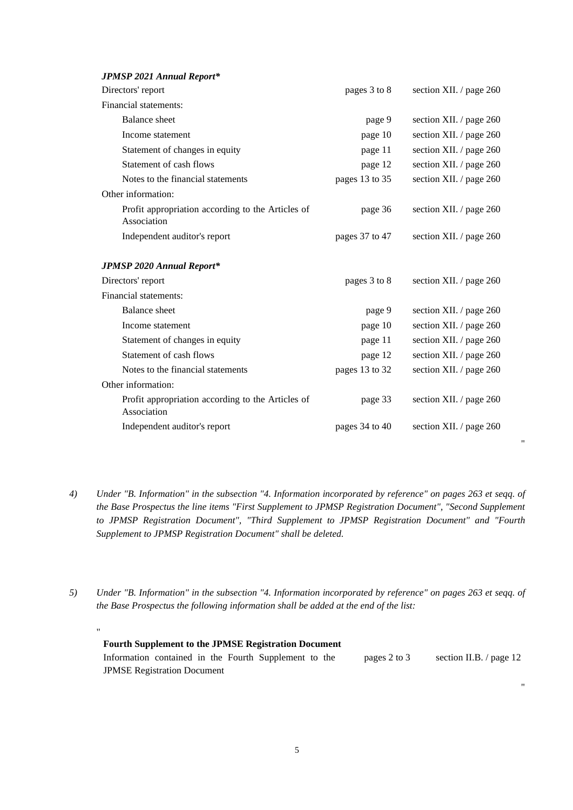| <b>JPMSP 2021 Annual Report*</b>                                 |                |                         |
|------------------------------------------------------------------|----------------|-------------------------|
| Directors' report                                                | pages 3 to 8   | section XII. / page 260 |
| Financial statements:                                            |                |                         |
| Balance sheet                                                    | page 9         | section XII. / page 260 |
| Income statement                                                 | page 10        | section XII. / page 260 |
| Statement of changes in equity                                   | page 11        | section XII. / page 260 |
| Statement of cash flows                                          | page 12        | section XII. / page 260 |
| Notes to the financial statements                                | pages 13 to 35 | section XII. / page 260 |
| Other information:                                               |                |                         |
| Profit appropriation according to the Articles of<br>Association | page 36        | section XII. / page 260 |
| Independent auditor's report                                     | pages 37 to 47 | section XII. / page 260 |
| <b>JPMSP 2020 Annual Report*</b>                                 |                |                         |
| Directors' report                                                | pages 3 to 8   | section XII. / page 260 |
| Financial statements:                                            |                |                         |
| <b>Balance</b> sheet                                             | page 9         | section XII. / page 260 |
| Income statement                                                 | page 10        | section XII. / page 260 |
| Statement of changes in equity                                   | page 11        | section XII. / page 260 |
| Statement of cash flows                                          | page 12        | section XII. / page 260 |
| Notes to the financial statements                                | pages 13 to 32 | section XII. / page 260 |
| Other information:                                               |                |                         |
| Profit appropriation according to the Articles of<br>Association | page 33        | section XII. / page 260 |
| Independent auditor's report                                     | pages 34 to 40 | section XII. / page 260 |

*4) Under "B. Information" in the subsection "4. Information incorporated by reference" on pages 263 et seqq. of the Base Prospectus the line items "First Supplement to JPMSP Registration Document", "Second Supplement to JPMSP Registration Document", "Third Supplement to JPMSP Registration Document" and "Fourth Supplement to JPMSP Registration Document" shall be deleted.* 

"

"

*5) Under "B. Information" in the subsection "4. Information incorporated by reference" on pages 263 et seqq. of the Base Prospectus the following information shall be added at the end of the list:* 

" **Fourth Supplement to the JPMSE Registration Document** Information contained in the Fourth Supplement to the JPMSE Registration Document pages 2 to 3 section II.B. / page 12